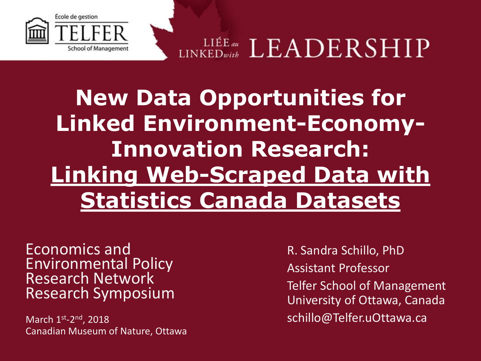

LINKEDwith  $\textrm{LEADERSHIP}$ 

## **New Data Opportunities for Linked Environment-Economy-Innovation Research: Linking Web-Scraped Data with Statistics Canada Datasets**

Economics and Environmental Policy Research Network Research Symposium

March 1<sup>st</sup>-2<sup>nd</sup>, 2018 Canadian Museum of Nature, Ottawa

R. Sandra Schillo, PhD Assistant Professor Telfer School of Management University of Ottawa, Canada schillo@Telfer.uOttawa.ca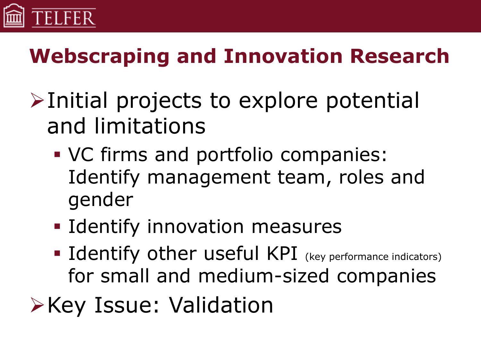

#### **Webscraping and Innovation Research**

- $\triangleright$ Initial projects to explore potential and limitations
	- VC firms and portfolio companies: Identify management team, roles and gender
	- **I** Identify innovation measures
	- **Identify other useful KPI** (key performance indicators) for small and medium-sized companies
- **Example 2 Service: Validation**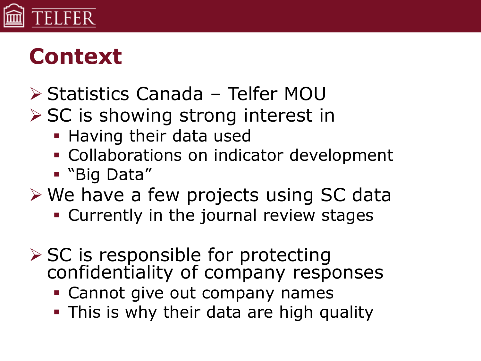

#### **Context**

- Statistics Canada Telfer MOU
- $\triangleright$  SC is showing strong interest in
	- **Having their data used**
	- Collaborations on indicator development
	- "Big Data"
- We have a few projects using SC data
	- **Currently in the journal review stages**
- $\triangleright$  SC is responsible for protecting confidentiality of company responses
	- **Cannot give out company names**
	- **This is why their data are high quality**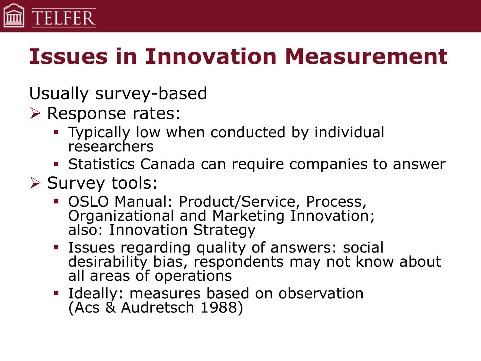

# **Issues in Innovation Measurement**

Usually survey-based

- Response rates:
	- **Typically low when conducted by individual** researchers
	- **Statistics Canada can require companies to answer**
- $\triangleright$  Survey tools:
	- OSLO Manual: Product/Service, Process, Organizational and Marketing Innovation; also: Innovation Strategy
	- **ISSUES regarding quality of answers: social** desirability bias, respondents may not know about all areas of operations
	- **Ideally: measures based on observation** (Acs & Audretsch 1988)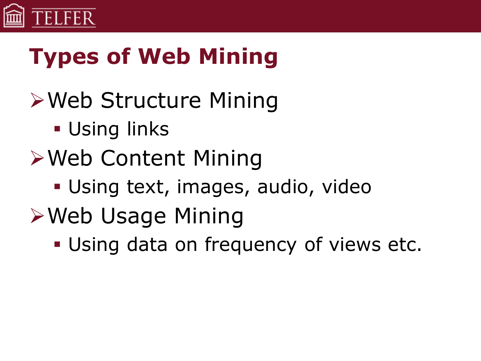

# **Types of Web Mining**

- Web Structure Mining
	- **Using links**
- Web Content Mining
	- Using text, images, audio, video
- **≻Web Usage Mining** 
	- Using data on frequency of views etc.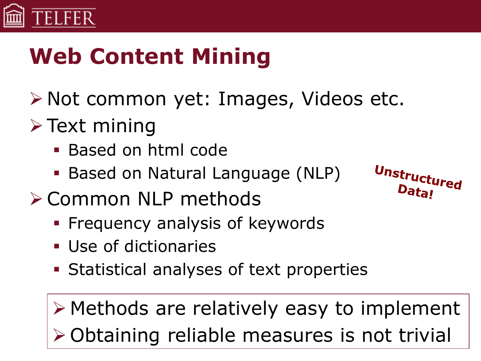

# **Web Content Mining**

- ≻ Not common yet: Images, Videos etc.
- $\triangleright$  Text mining
	- Based on html code
	- Based on Natural Language (NLP)
- **≻ Common NLP methods** 
	- **Filte Frequency analysis of keywords**
	- Use of dictionaries
	- Statistical analyses of text properties

 Methods are relatively easy to implement Obtaining reliable measures is not trivial

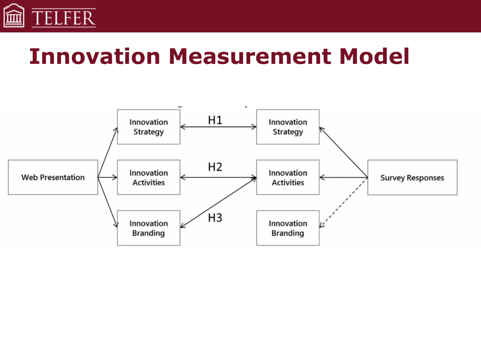

#### **Innovation Measurement Model**

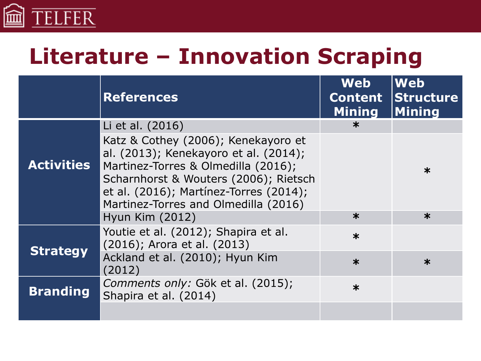

#### **Literature – Innovation Scraping**

|                   | <b>References</b>                                                                                                                                                                                                                              | <b>Web</b><br><b>Content</b><br><b>Mining</b> | <b>Web</b><br>Structure<br><b>Mining</b> |
|-------------------|------------------------------------------------------------------------------------------------------------------------------------------------------------------------------------------------------------------------------------------------|-----------------------------------------------|------------------------------------------|
|                   | Li et al. (2016)                                                                                                                                                                                                                               | $\ast$                                        |                                          |
| <b>Activities</b> | Katz & Cothey (2006); Kenekayoro et<br>al. (2013); Kenekayoro et al. (2014);<br>Martinez-Torres & Olmedilla (2016);<br>Scharnhorst & Wouters (2006); Rietsch<br>et al. (2016); Martínez-Torres (2014);<br>Martinez-Torres and Olmedilla (2016) |                                               | $\ast$                                   |
|                   | Hyun Kim (2012)                                                                                                                                                                                                                                | $\ast$                                        | $\ast$                                   |
| <b>Strategy</b>   | Youtie et al. (2012); Shapira et al.<br>(2016); Arora et al. (2013)                                                                                                                                                                            | $\ast$                                        |                                          |
|                   | Ackland et al. (2010); Hyun Kim<br>(2012)                                                                                                                                                                                                      | $\ast$                                        | $\ast$                                   |
| <b>Branding</b>   | Comments only: Gök et al. (2015);<br>Shapira et al. (2014)                                                                                                                                                                                     | $\ast$                                        |                                          |
|                   |                                                                                                                                                                                                                                                |                                               |                                          |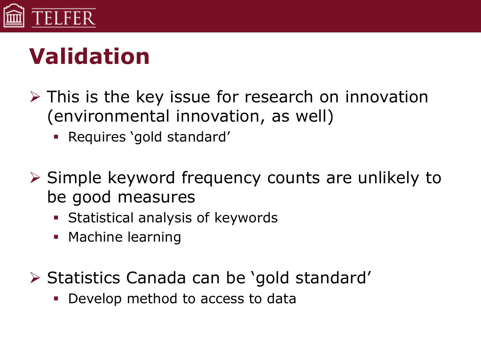

# **Validation**

- $\triangleright$  This is the key issue for research on innovation (environmental innovation, as well)
	- Requires 'gold standard'
- $\triangleright$  Simple keyword frequency counts are unlikely to be good measures
	- **Statistical analysis of keywords**
	- **Machine learning**
- $\triangleright$  Statistics Canada can be 'gold standard'
	- Develop method to access to data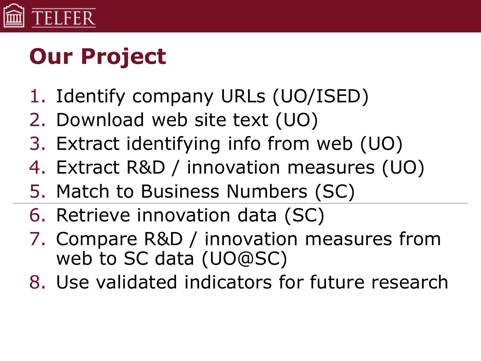

# **Our Project**

- 1. Identify company URLs (UO/ISED)
- 2. Download web site text (UO)
- 3. Extract identifying info from web (UO)
- 4. Extract R&D / innovation measures (UO)
- 5. Match to Business Numbers (SC)
- 6. Retrieve innovation data (SC)
- 7. Compare R&D / innovation measures from web to SC data (UO@SC)
- 8. Use validated indicators for future research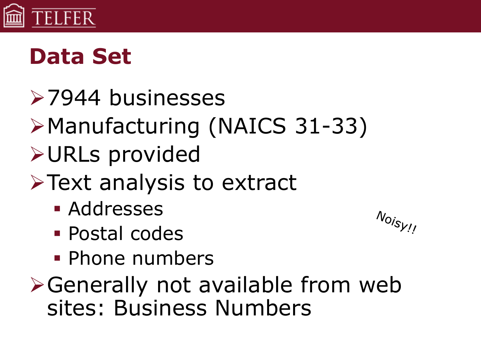

# **Data Set**

- **≻7944 businesses**
- Manufacturing (NAICS 31-33)
- URLs provided
- $\triangleright$  Text analysis to extract
	- **Addresses**
	- Postal codes
	- **Phone numbers**
- Generally not available from web sites: Business Numbers

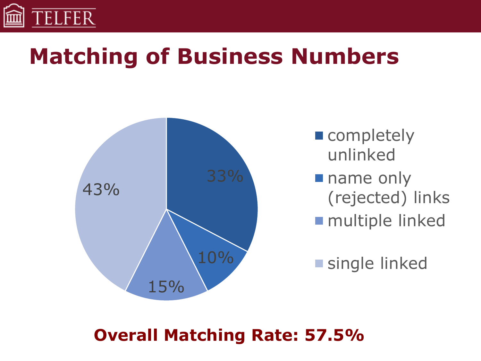

## **Matching of Business Numbers**



completely unlinked **name only** (rejected) links multiple linked

single linked

#### **Overall Matching Rate: 57.5%**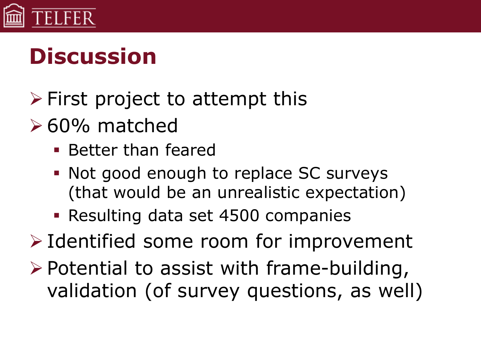

# **Discussion**

- $\triangleright$  First project to attempt this
- $\geq 60\%$  matched
	- **Better than feared**
	- Not good enough to replace SC surveys (that would be an unrealistic expectation)
	- Resulting data set 4500 companies
- $\triangleright$  Identified some room for improvement
- $\triangleright$  Potential to assist with frame-building, validation (of survey questions, as well)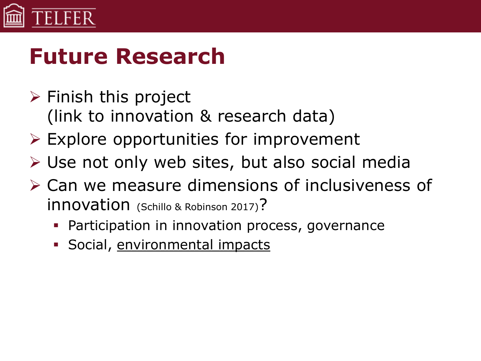

## **Future Research**

- $\triangleright$  Finish this project (link to innovation & research data)
- $\triangleright$  Explore opportunities for improvement
- Use not only web sites, but also social media
- Can we measure dimensions of inclusiveness of innovation (Schillo & Robinson 2017)?
	- Participation in innovation process, governance
	- **Social, environmental impacts**